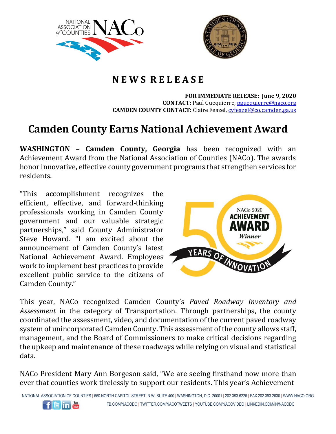



## **N E W S R E L E A S E**

**FOR IMMEDIATE RELEASE: June 9, 2020 CONTACT:** Paul Guequierre, [pguequierre@naco.org](mailto:pguequierre@naco.org) **CAMDEN COUNTY CONTACT:** Claire Feazel, [cyfeazel@co.camden.ga.us](mailto:cyfeazel@co.camden.ga.us)

## **Camden County Earns National Achievement Award**

**WASHINGTON – Camden County, Georgia** has been recognized with an Achievement Award from the National Association of Counties (NACo). The awards honor innovative, effective county government programs that strengthen services for residents.

"This accomplishment recognizes the efficient, effective, and forward-thinking professionals working in Camden County government and our valuable strategic partnerships," said County Administrator Steve Howard. "I am excited about the announcement of Camden County's latest National Achievement Award. Employees work to implement best practices to provide excellent public service to the citizens of Camden County."



This year, NACo recognized Camden County's *Paved Roadway Inventory and Assessment* in the category of Transportation. Through partnerships, the county coordinated the assessment, video, and documentation of the current paved roadway system of unincorporated Camden County. This assessment of the county allows staff, management, and the Board of Commissioners to make critical decisions regarding the upkeep and maintenance of these roadways while relying on visual and statistical data.

NACo President Mary Ann Borgeson said, "We are seeing firsthand now more than ever that counties work tirelessly to support our residents. This year's Achievement

NATIONAL ASSOCIATION OF COUNTIES | 660 NORTH CAPITOL STREET, N.W. SUITE 400 | WASHINGTON, D.C. 20001 | 202.393.6226 | FAX 202.393.2630 | WWW.NACO.ORG FB.COM/NACODC | TWITTER.COM/NACOTWEETS | YOUTUBE.COM/NACOVIDEO | LINKEDIN.COM/IN/NACODC